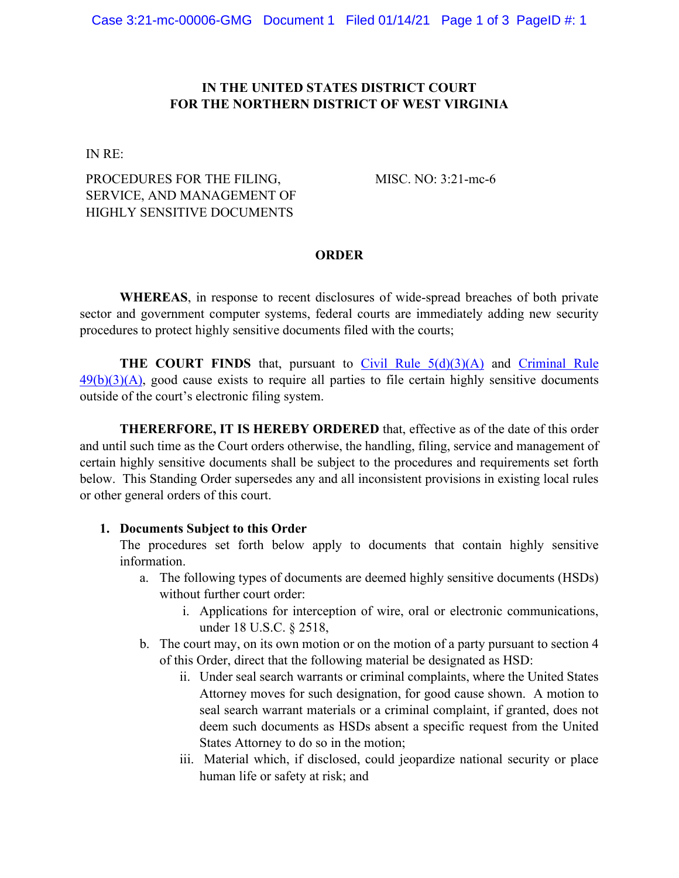#### **IN THE UNITED STATES DISTRICT COURT FOR THE NORTHERN DISTRICT OF WEST VIRGINIA**

IN RE:

## PROCEDURES FOR THE FILING, SERVICE, AND MANAGEMENT OF HIGHLY SENSITIVE DOCUMENTS

MISC. NO: 3:21-mc-6

#### **ORDER**

**WHEREAS**, in response to recent disclosures of wide-spread breaches of both private sector and government computer systems, federal courts are immediately adding new security procedures to protect highly sensitive documents filed with the courts;

**THE COURT FINDS** that, pursuant to Civil Rule  $5(d)(3)(A)$  and Criminal Rule  $49(b)(3)(A)$ , good cause exists to require all parties to file certain highly sensitive documents outside of the court's electronic filing system.

**THERERFORE, IT IS HEREBY ORDERED** that, effective as of the date of this order and until such time as the Court orders otherwise, the handling, filing, service and management of certain highly sensitive documents shall be subject to the procedures and requirements set forth below. This Standing Order supersedes any and all inconsistent provisions in existing local rules or other general orders of this court.

#### **1. Documents Subject to this Order**

The procedures set forth below apply to documents that contain highly sensitive information.

- a. The following types of documents are deemed highly sensitive documents (HSDs) without further court order:
	- i. Applications for interception of wire, oral or electronic communications, under 18 U.S.C. § 2518,
- b. The court may, on its own motion or on the motion of a party pursuant to section 4 of this Order, direct that the following material be designated as HSD:
	- ii. Under seal search warrants or criminal complaints, where the United States Attorney moves for such designation, for good cause shown. A motion to seal search warrant materials or a criminal complaint, if granted, does not deem such documents as HSDs absent a specific request from the United States Attorney to do so in the motion;
	- iii. Material which, if disclosed, could jeopardize national security or place human life or safety at risk; and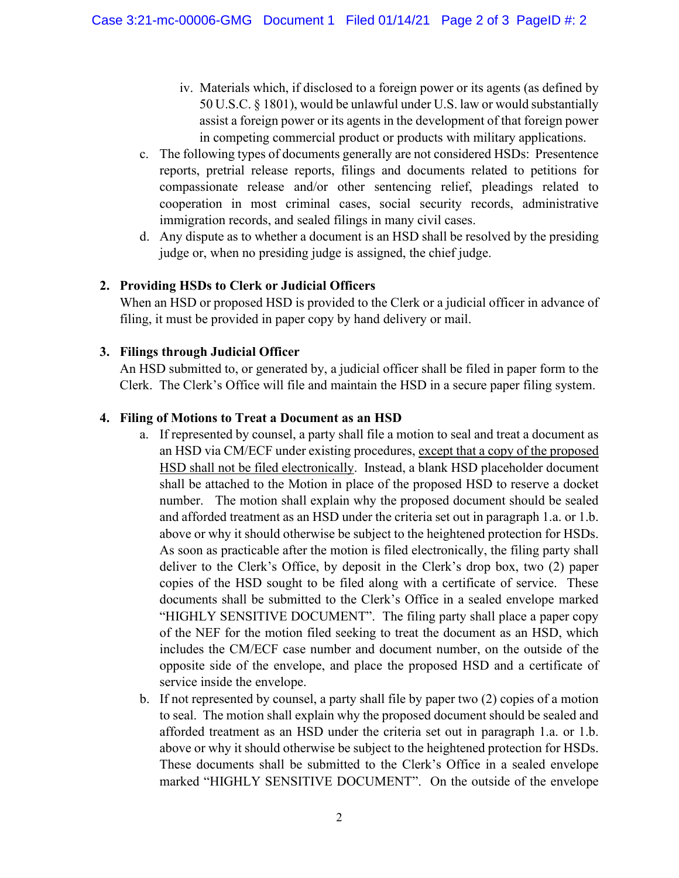- iv. Materials which, if disclosed to a foreign power or its agents (as defined by 50 U.S.C. § 1801), would be unlawful under U.S. law or would substantially assist a foreign power or its agents in the development of that foreign power in competing commercial product or products with military applications.
- c. The following types of documents generally are not considered HSDs: Presentence reports, pretrial release reports, filings and documents related to petitions for compassionate release and/or other sentencing relief, pleadings related to cooperation in most criminal cases, social security records, administrative immigration records, and sealed filings in many civil cases.
- d. Any dispute as to whether a document is an HSD shall be resolved by the presiding judge or, when no presiding judge is assigned, the chief judge.

## **2. Providing HSDs to Clerk or Judicial Officers**

When an HSD or proposed HSD is provided to the Clerk or a judicial officer in advance of filing, it must be provided in paper copy by hand delivery or mail.

# **3. Filings through Judicial Officer**

An HSD submitted to, or generated by, a judicial officer shall be filed in paper form to the Clerk. The Clerk's Office will file and maintain the HSD in a secure paper filing system.

# **4. Filing of Motions to Treat a Document as an HSD**

- a. If represented by counsel, a party shall file a motion to seal and treat a document as an HSD via CM/ECF under existing procedures, except that a copy of the proposed HSD shall not be filed electronically. Instead, a blank HSD placeholder document shall be attached to the Motion in place of the proposed HSD to reserve a docket number. The motion shall explain why the proposed document should be sealed and afforded treatment as an HSD under the criteria set out in paragraph 1.a. or 1.b. above or why it should otherwise be subject to the heightened protection for HSDs. As soon as practicable after the motion is filed electronically, the filing party shall deliver to the Clerk's Office, by deposit in the Clerk's drop box, two (2) paper copies of the HSD sought to be filed along with a certificate of service. These documents shall be submitted to the Clerk's Office in a sealed envelope marked "HIGHLY SENSITIVE DOCUMENT". The filing party shall place a paper copy of the NEF for the motion filed seeking to treat the document as an HSD, which includes the CM/ECF case number and document number, on the outside of the opposite side of the envelope, and place the proposed HSD and a certificate of service inside the envelope.
- b. If not represented by counsel, a party shall file by paper two (2) copies of a motion to seal. The motion shall explain why the proposed document should be sealed and afforded treatment as an HSD under the criteria set out in paragraph 1.a. or 1.b. above or why it should otherwise be subject to the heightened protection for HSDs. These documents shall be submitted to the Clerk's Office in a sealed envelope marked "HIGHLY SENSITIVE DOCUMENT". On the outside of the envelope